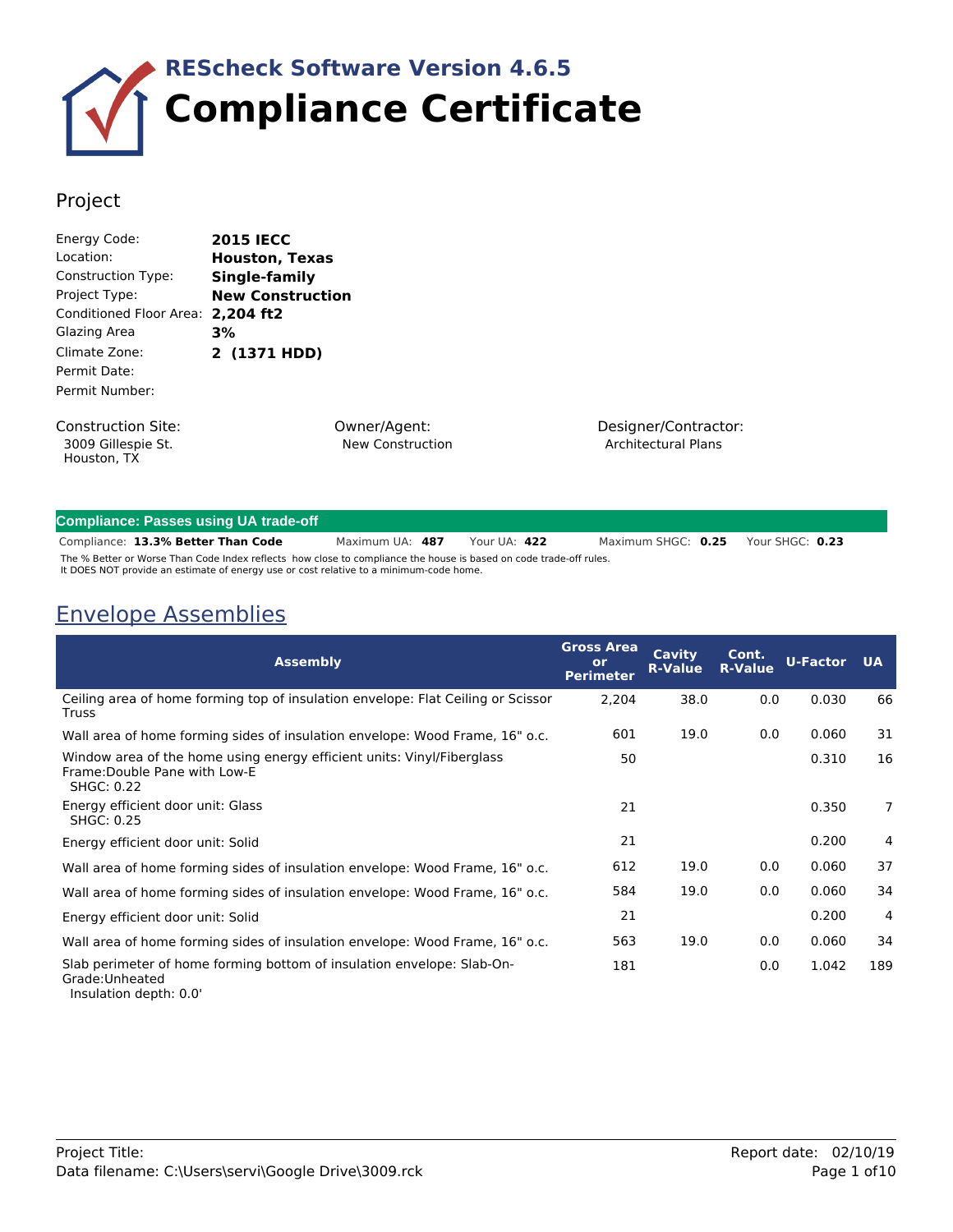

### Project

| Energy Code:                      | <b>2015 IECC</b>        |
|-----------------------------------|-------------------------|
| Location:                         | <b>Houston, Texas</b>   |
| <b>Construction Type:</b>         | Single-family           |
| Project Type:                     | <b>New Construction</b> |
| Conditioned Floor Area: 2,204 ft2 |                         |
| Glazing Area                      | 3%                      |
| Climate Zone:                     | 2 (1371 HDD)            |
| Permit Date:                      |                         |
| Permit Number:                    |                         |
|                                   |                         |

Construction Site: 3009 Gillespie St. Houston, TX

Owner/Agent: New Construction Designer/Contractor: Architectural Plans

#### **Compliance: Passes using UA trade-off**

**13.3% Better Than Code** Maximum UA: **487** Your UA: **422** Compliance: Maximum SHGC: **0.25** Your SHGC: **0.23** The % Better or Worse Than Code Index reflects how close to compliance the house is based on code trade-off rules. It DOES NOT provide an estimate of energy use or cost relative to a minimum-code home.

### Envelope Assemblies

| <b>Assembly</b>                                                                                                              | <b>Gross Area</b><br>or<br><b>Perimeter</b> | Cavity<br><b>R-Value</b> | Cont.<br><b>R-Value</b> | <b>U-Factor</b> | <b>UA</b>      |
|------------------------------------------------------------------------------------------------------------------------------|---------------------------------------------|--------------------------|-------------------------|-----------------|----------------|
| Ceiling area of home forming top of insulation envelope: Flat Ceiling or Scissor<br>Truss                                    | 2,204                                       | 38.0                     | 0.0                     | 0.030           | 66             |
| Wall area of home forming sides of insulation envelope: Wood Frame, 16" o.c.                                                 | 601                                         | 19.0                     | 0.0                     | 0.060           | 31             |
| Window area of the home using energy efficient units: Vinyl/Fiberglass<br>Frame: Double Pane with Low-E<br><b>SHGC: 0.22</b> | 50                                          |                          |                         | 0.310           | 16             |
| Energy efficient door unit: Glass<br><b>SHGC: 0.25</b>                                                                       | 21                                          |                          |                         | 0.350           | $\overline{7}$ |
| Energy efficient door unit: Solid                                                                                            | 21                                          |                          |                         | 0.200           | 4              |
| Wall area of home forming sides of insulation envelope: Wood Frame, 16" o.c.                                                 | 612                                         | 19.0                     | 0.0                     | 0.060           | 37             |
| Wall area of home forming sides of insulation envelope: Wood Frame, 16" o.c.                                                 | 584                                         | 19.0                     | 0.0                     | 0.060           | 34             |
| Energy efficient door unit: Solid                                                                                            | 21                                          |                          |                         | 0.200           | 4              |
| Wall area of home forming sides of insulation envelope: Wood Frame, 16" o.c.                                                 | 563                                         | 19.0                     | 0.0                     | 0.060           | 34             |
| Slab perimeter of home forming bottom of insulation envelope: Slab-On-<br>Grade: Unheated                                    | 181                                         |                          | 0.0                     | 1.042           | 189            |

Insulation depth: 0.0'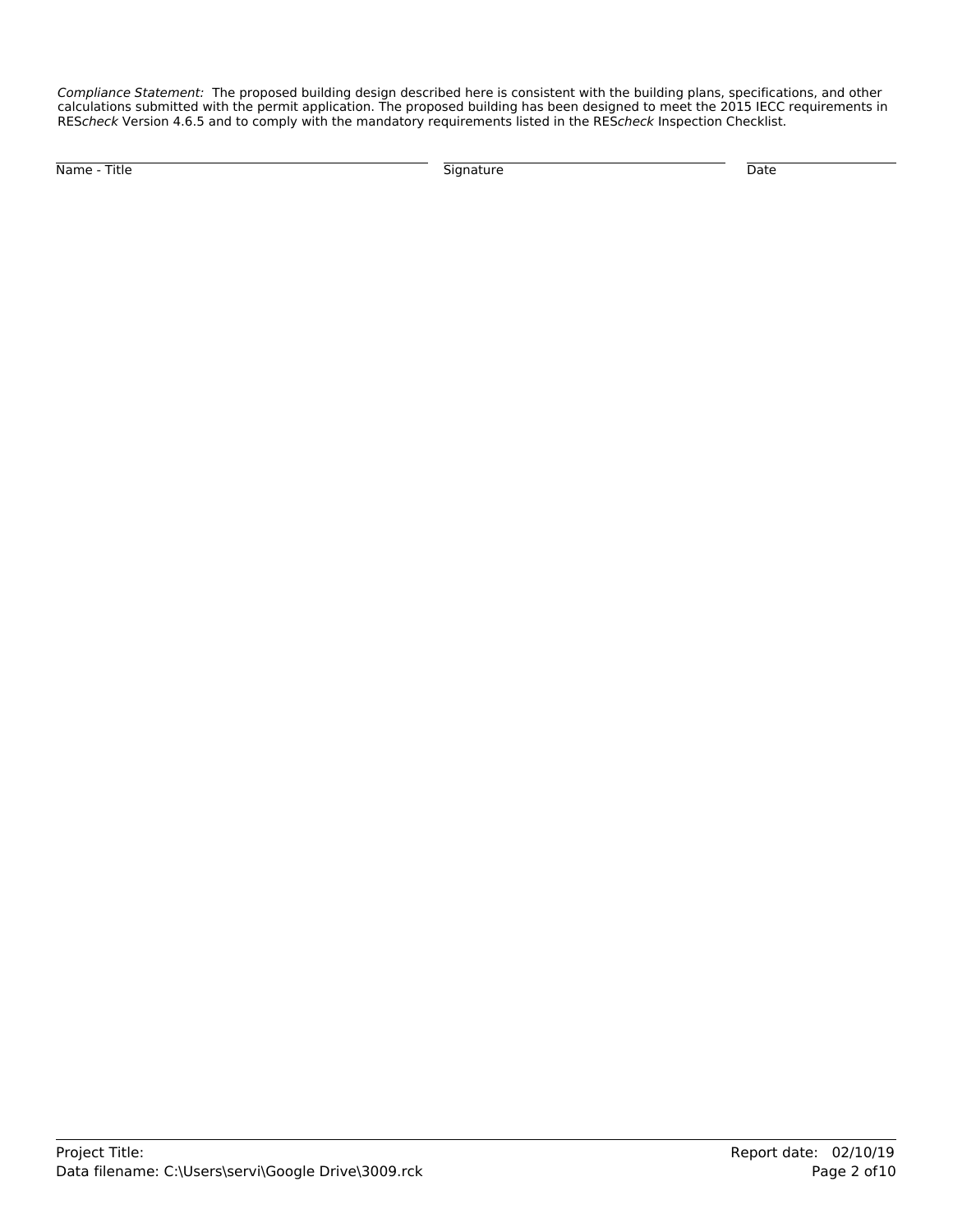*Compliance Statement:* The proposed building design described here is consistent with the building plans, specifications, and other calculations submitted with the permit application. The proposed building has been designed to meet the 2015 IECC requirements in RES*check* Version 4.6.5 and to comply with the mandatory requirements listed in the RES*check* Inspection Checklist.

Name - Title Signature Date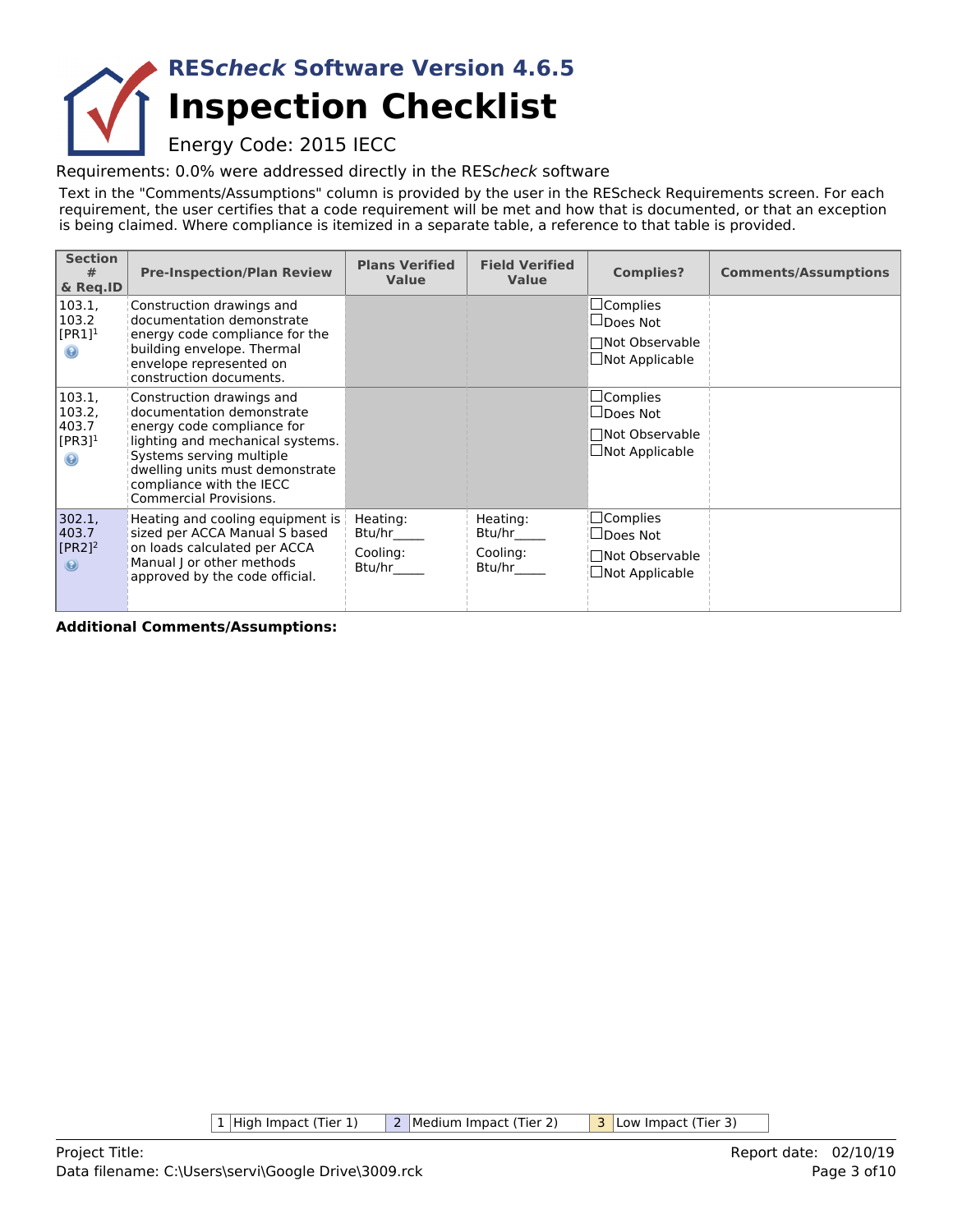# **Inspection Checklist RES***check* **Software Version 4.6.5**

Energy Code: 2015 IECC

Requirements: 0.0% were addressed directly in the RES*check* software

Text in the "Comments/Assumptions" column is provided by the user in the REScheck Requirements screen. For each requirement, the user certifies that a code requirement will be met and how that is documented, or that an exception is being claimed. Where compliance is itemized in a separate table, a reference to that table is provided.

| <b>Section</b><br>#<br>& Req.ID                                    | <b>Pre-Inspection/Plan Review</b>                                                                                                                                                                                                                    | <b>Plans Verified</b><br><b>Value</b>    | <b>Field Verified</b><br><b>Value</b>    | <b>Complies?</b>                                                                   | <b>Comments/Assumptions</b> |
|--------------------------------------------------------------------|------------------------------------------------------------------------------------------------------------------------------------------------------------------------------------------------------------------------------------------------------|------------------------------------------|------------------------------------------|------------------------------------------------------------------------------------|-----------------------------|
| 103.1,<br>103.2<br>$[PR1]^1$<br>$\odot$                            | Construction drawings and<br>documentation demonstrate<br>energy code compliance for the<br>building envelope. Thermal<br>envelope represented on<br>construction documents.                                                                         |                                          |                                          | $\Box$ Complies<br>$\Box$ Does Not<br>□Not Observable<br>$\Box$ Not Applicable     |                             |
| 103.1,<br>103.2,<br>403.7<br>$[PR3]$ <sup>1</sup><br>$\circledast$ | Construction drawings and<br>documentation demonstrate<br>energy code compliance for<br>lighting and mechanical systems.<br>Systems serving multiple<br>dwelling units must demonstrate<br>compliance with the IECC<br><b>Commercial Provisions.</b> |                                          |                                          | $\sqcup$ Complies<br>$\Box$ Does Not<br>□Not Observable<br>$\Box$ Not Applicable   |                             |
| 302.1,<br>403.7<br>$[PR2]$ <sup>2</sup><br>$\circledast$           | Heating and cooling equipment is  <br>sized per ACCA Manual S based<br>on loads calculated per ACCA<br>Manual J or other methods<br>approved by the code official.                                                                                   | Heating:<br>Btu/hr<br>Cooling:<br>Btu/hr | Heating:<br>Btu/hr<br>Cooling:<br>Btu/hr | $\square$ Complies<br>$\sqcup$ Does Not<br>Not Observable<br>$\Box$ Not Applicable |                             |

**Additional Comments/Assumptions:**

1 High Impact (Tier 1) 2 Medium Impact (Tier 2) 3 Low Impact (Tier 3)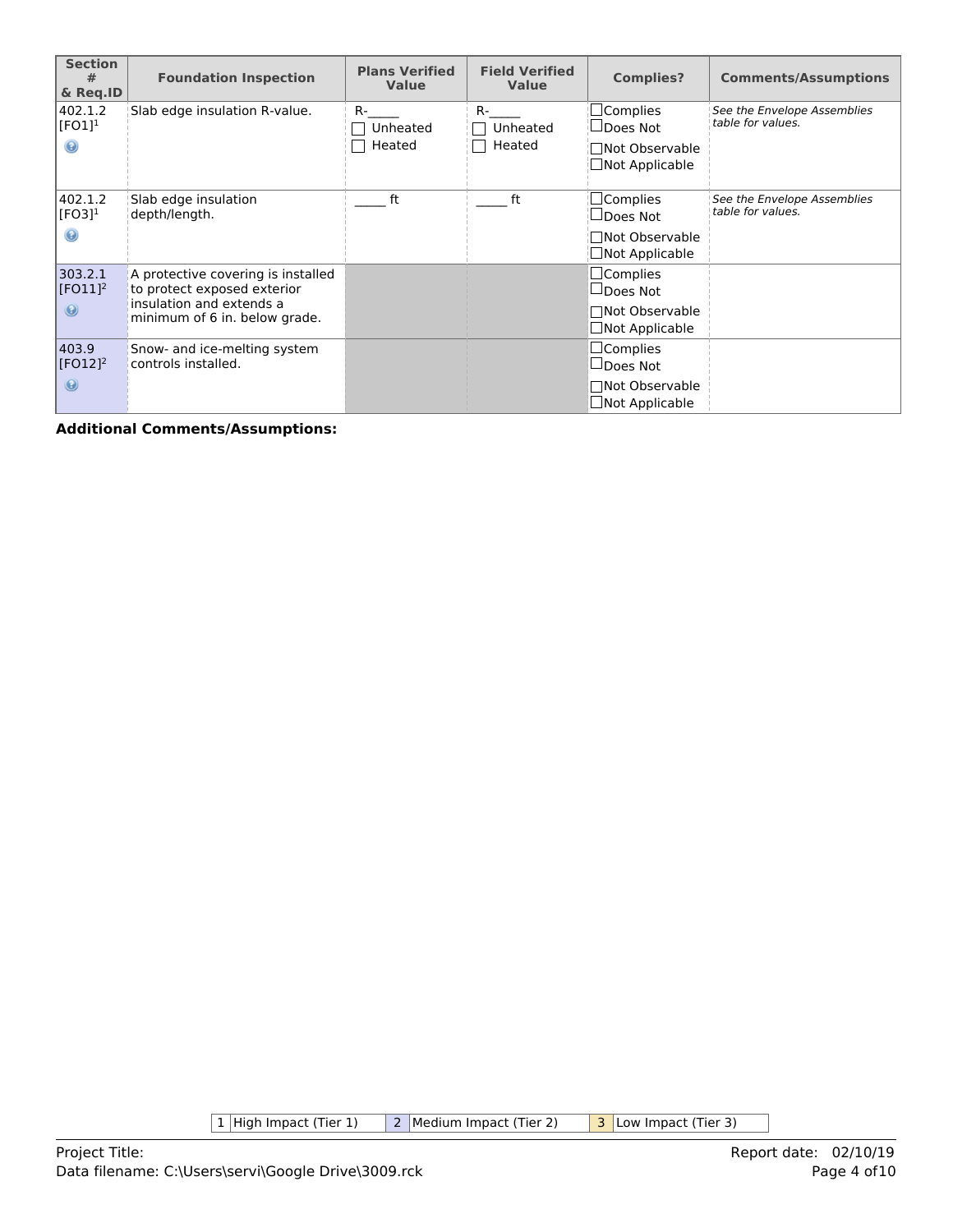| <b>Section</b><br>#<br>& Reg.ID             | <b>Foundation Inspection</b>                                                                                                   | <b>Plans Verified</b><br><b>Value</b> | <b>Field Verified</b><br><b>Value</b> | <b>Complies?</b>                                                                     | <b>Comments/Assumptions</b>                      |
|---------------------------------------------|--------------------------------------------------------------------------------------------------------------------------------|---------------------------------------|---------------------------------------|--------------------------------------------------------------------------------------|--------------------------------------------------|
| 402.1.2<br>[FO1] <sup>1</sup><br>0          | Slab edge insulation R-value.                                                                                                  | $R-$<br>Unheated<br>Heated            | $R-$<br>Unheated<br>Heated            | $\Box$ Complies<br>$\Box$ Does Not<br>□Not Observable<br>$\Box$ Not Applicable       | See the Envelope Assemblies<br>table for values. |
| 402.1.2<br>$[FO3]$ <sup>1</sup>             | Slab edge insulation<br>depth/length.                                                                                          | ft                                    | ft                                    | $\Box$ Complies<br>$\Box$ Does Not<br><b>Not Observable</b><br>$\Box$ Not Applicable | See the Envelope Assemblies<br>table for values. |
| 303.2.1<br>$[FO11]$ <sup>2</sup><br>$\odot$ | A protective covering is installed<br>to protect exposed exterior<br>insulation and extends a<br>minimum of 6 in. below grade. |                                       |                                       | $\Box$ Complies<br>$\Box$ Does Not<br>□Not Observable<br>$\Box$ Not Applicable       |                                                  |
| 403.9<br>$[FO12]$ <sup>2</sup><br>$\odot$   | Snow- and ice-melting system<br>controls installed.                                                                            |                                       |                                       | $\Box$ Complies<br>$\Box$ Does Not<br>□Not Observable<br>$\Box$ Not Applicable       |                                                  |

1 High Impact (Tier 1) 2 Medium Impact (Tier 2) 3 Low Impact (Tier 3)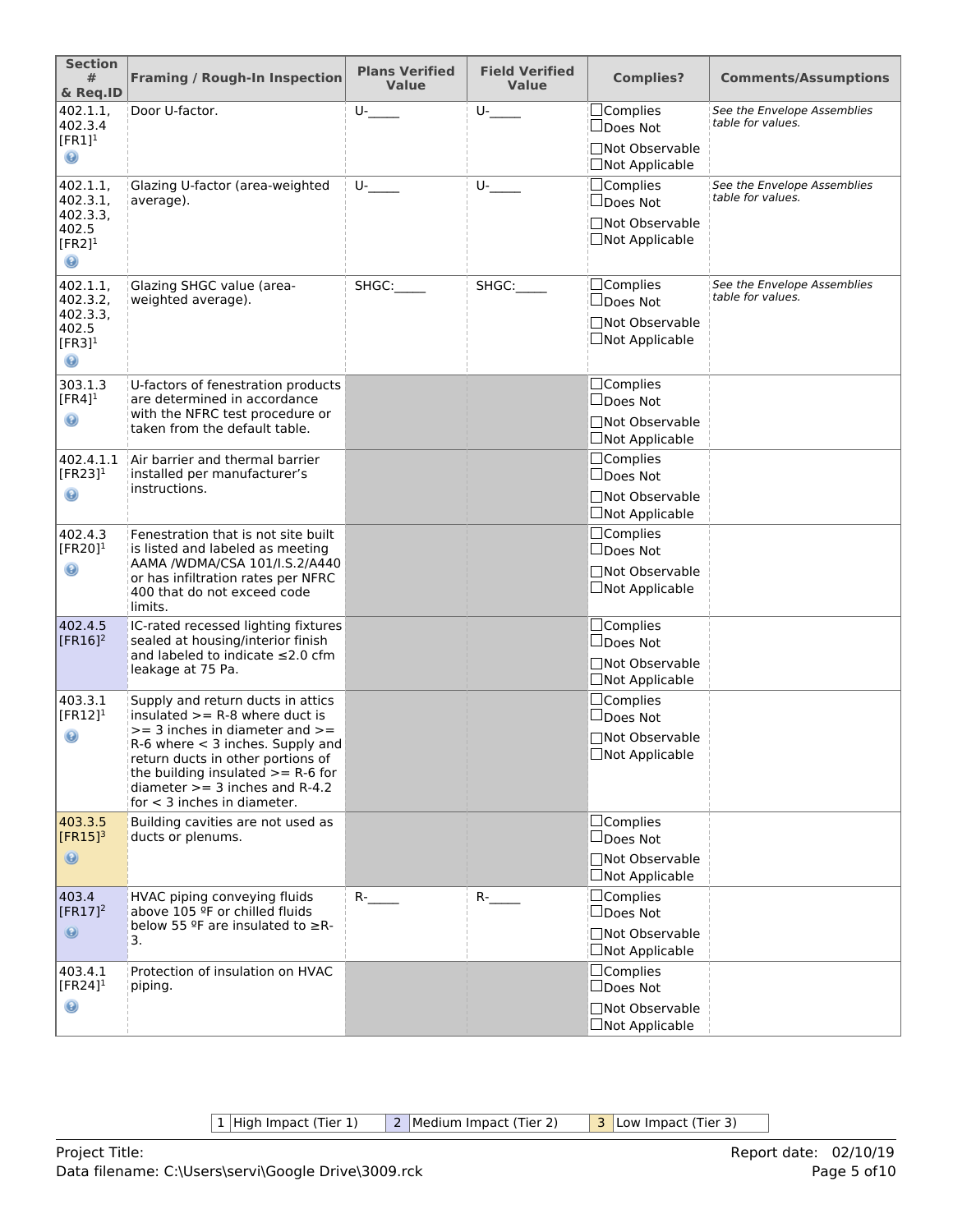| <b>Section</b><br>#<br>& Req.ID                                                     | <b>Framing / Rough-In Inspection</b>                                                                                                                                                                                                                                                                 | <b>Plans Verified</b><br><b>Value</b> | <b>Field Verified</b><br><b>Value</b> | <b>Complies?</b>                                                               | <b>Comments/Assumptions</b>                      |
|-------------------------------------------------------------------------------------|------------------------------------------------------------------------------------------------------------------------------------------------------------------------------------------------------------------------------------------------------------------------------------------------------|---------------------------------------|---------------------------------------|--------------------------------------------------------------------------------|--------------------------------------------------|
| 402.1.1,<br>402.3.4<br>$[FR1]$ <sup>1</sup><br>◉                                    | Door U-factor.                                                                                                                                                                                                                                                                                       | $U$ -                                 | $U$ -                                 | $\Box$ Complies<br>□Does Not<br>□Not Observable<br>□Not Applicable             | See the Envelope Assemblies<br>table for values. |
| 402.1.1,<br>402.3.1,<br>402.3.3,<br>402.5<br>$[FR2]$ <sup>1</sup><br>$\circledcirc$ | Glazing U-factor (area-weighted<br>average).                                                                                                                                                                                                                                                         | $U$ -                                 | U-                                    | $\Box$ Complies<br>□Does Not<br>□Not Observable<br>□Not Applicable             | See the Envelope Assemblies<br>table for values. |
| 402.1.1,<br>402.3.2,<br>402.3.3,<br>402.5<br>$[FR3]$ <sup>1</sup><br>$\odot$        | Glazing SHGC value (area-<br>weighted average).                                                                                                                                                                                                                                                      | SHGC:                                 | SHGC:                                 | $\Box$ Complies<br>□Does Not<br>□Not Observable<br>□Not Applicable             | See the Envelope Assemblies<br>table for values. |
| 303.1.3<br>$[FR4]$ <sup>1</sup><br>$\mathbf \Theta$                                 | U-factors of fenestration products<br>are determined in accordance<br>with the NFRC test procedure or<br>taken from the default table.                                                                                                                                                               |                                       |                                       | □Complies<br>$\Box$ Does Not<br>□Not Observable<br>$\Box$ Not Applicable       |                                                  |
| 402.4.1.1<br>[FR23] $1$<br>◉                                                        | Air barrier and thermal barrier<br>installed per manufacturer's<br>instructions.                                                                                                                                                                                                                     |                                       |                                       | $\Box$ Complies<br>$\Box$ Does Not<br>□Not Observable<br>$\Box$ Not Applicable |                                                  |
| 402.4.3<br>[FR20] $1$<br>◉                                                          | Fenestration that is not site built<br>is listed and labeled as meeting<br>AAMA /WDMA/CSA 101/I.S.2/A440<br>or has infiltration rates per NFRC<br>400 that do not exceed code<br>limits.                                                                                                             |                                       |                                       | $\Box$ Complies<br>$\Box$ Does Not<br>□Not Observable<br>$\Box$ Not Applicable |                                                  |
| 402.4.5<br>$[FR16]^2$                                                               | IC-rated recessed lighting fixtures<br>sealed at housing/interior finish<br>and labeled to indicate ≤2.0 cfm<br>leakage at 75 Pa.                                                                                                                                                                    |                                       |                                       | $\Box$ Complies<br>$\Box$ Does Not<br>□Not Observable<br>□Not Applicable       |                                                  |
| 403.3.1<br>$[FR12]$ <sup>1</sup><br>$\circledcirc$                                  | Supply and return ducts in attics<br>insulated $>=$ R-8 where duct is<br>$>=$ 3 inches in diameter and $>=$<br>$R-6$ where $<$ 3 inches. Supply and<br>return ducts in other portions of<br>the building insulated $>= R-6$ for<br>diameter $>=$ 3 inches and R-4.2<br>for $<$ 3 inches in diameter. |                                       |                                       | $\Box$ Complies<br>$\Box$ Does Not<br>□Not Observable<br>$\Box$ Not Applicable |                                                  |
| 403.3.5<br>$[FR15]$ <sup>3</sup><br>$\circledcirc$                                  | Building cavities are not used as<br>ducts or plenums.                                                                                                                                                                                                                                               |                                       |                                       | $\Box$ Complies<br>$\Box$ Does Not<br>□Not Observable<br>$\Box$ Not Applicable |                                                  |
| 403.4<br>$[FR17]^2$<br>$\circledast$                                                | HVAC piping conveying fluids<br>above 105 ºF or chilled fluids<br>below 55 $9$ F are insulated to $\geq$ R-<br>3.                                                                                                                                                                                    | $R$ -                                 | $R$ -                                 | $\Box$ Complies<br>$\Box$ Does Not<br>□Not Observable<br>□Not Applicable       |                                                  |
| 403.4.1<br>[FR24] $1$<br>◉                                                          | Protection of insulation on HVAC<br>piping.                                                                                                                                                                                                                                                          |                                       |                                       | $\Box$ Complies<br>$\Box$ Does Not<br>□Not Observable<br>$\Box$ Not Applicable |                                                  |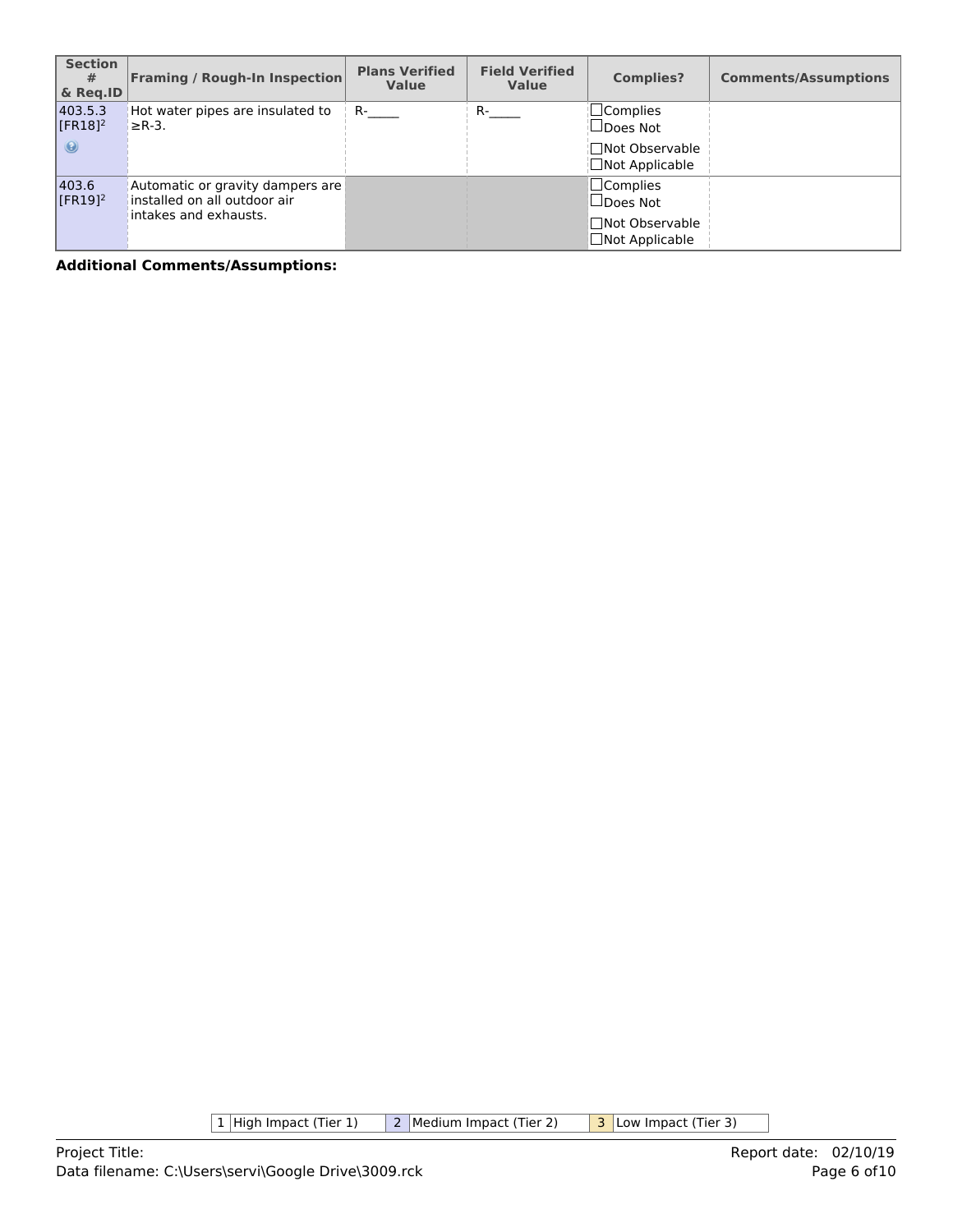| <b>Section</b><br>#<br>& Reg.ID             | <b>Framing / Rough-In Inspection</b>                                                      | <b>Plans Verified</b><br><b>Value</b> | <b>Field Verified</b><br><b>Value</b> | <b>Complies?</b>                                                                 | <b>Comments/Assumptions</b> |
|---------------------------------------------|-------------------------------------------------------------------------------------------|---------------------------------------|---------------------------------------|----------------------------------------------------------------------------------|-----------------------------|
| 403.5.3<br>$[FR18]$ <sup>2</sup><br>$\odot$ | Hot water pipes are insulated to<br>$\geq$ R-3.                                           | $R-$                                  | $R_{\text{max}}$                      | <b>□Complies</b><br>$\Box$ Does Not<br>¦∏Not Observable<br>$\Box$ Not Applicable |                             |
| 403.6<br>$[FR19]$ <sup>2</sup>              | Automatic or gravity dampers are<br>installed on all outdoor air<br>intakes and exhausts. |                                       |                                       | $\Box$ Complies<br>$\Box$ Does Not<br>□Not Observable<br>$\Box$ Not Applicable   |                             |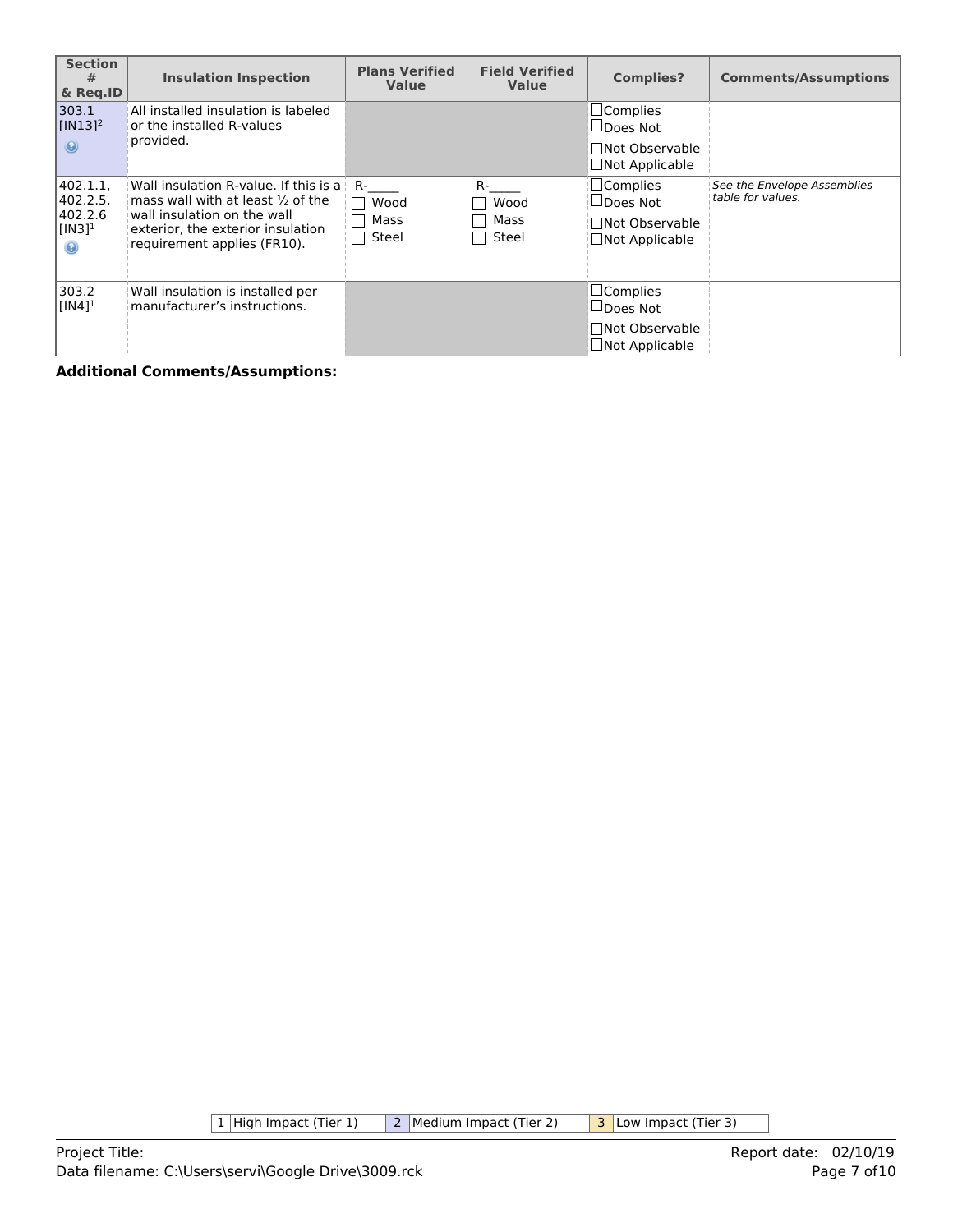| <b>Section</b><br>#<br>& Reg.ID                                      | <b>Insulation Inspection</b>                                                                                                                                                             | <b>Plans Verified</b><br><b>Value</b> | <b>Field Verified</b><br><b>Value</b> | <b>Complies?</b>                                                                | <b>Comments/Assumptions</b>                      |
|----------------------------------------------------------------------|------------------------------------------------------------------------------------------------------------------------------------------------------------------------------------------|---------------------------------------|---------------------------------------|---------------------------------------------------------------------------------|--------------------------------------------------|
| 303.1<br>$\sqrt{[IN13]^2}$<br>$\odot$                                | All installed insulation is labeled<br>or the installed R-values<br>provided.                                                                                                            |                                       |                                       | $\Box$ Complies<br>$\Box$ Does Not<br><b>Not Observable</b><br>□Not Applicable  |                                                  |
| 402.1.1,<br>402.2.5<br>402.2.6<br>$[IN3]$ <sup>1</sup><br>$_{\odot}$ | Wall insulation R-value. If this is a<br>mass wall with at least $\frac{1}{2}$ of the<br>wall insulation on the wall<br>exterior, the exterior insulation<br>requirement applies (FR10). | R-<br>Wood<br>Mass<br>Steel           | R-<br>Wood<br>Mass<br>Steel           | $\Box$ Complies<br>$\Box$ Does Not<br><b>□Not Observable</b><br>□Not Applicable | See the Envelope Assemblies<br>table for values. |
| 303.2<br>$[IN4]$ <sup>1</sup>                                        | Wall insulation is installed per<br>manufacturer's instructions.                                                                                                                         |                                       |                                       | $\Box$ Complies<br>$\Box$ Does Not<br><b>Not Observable</b><br>□Not Applicable  |                                                  |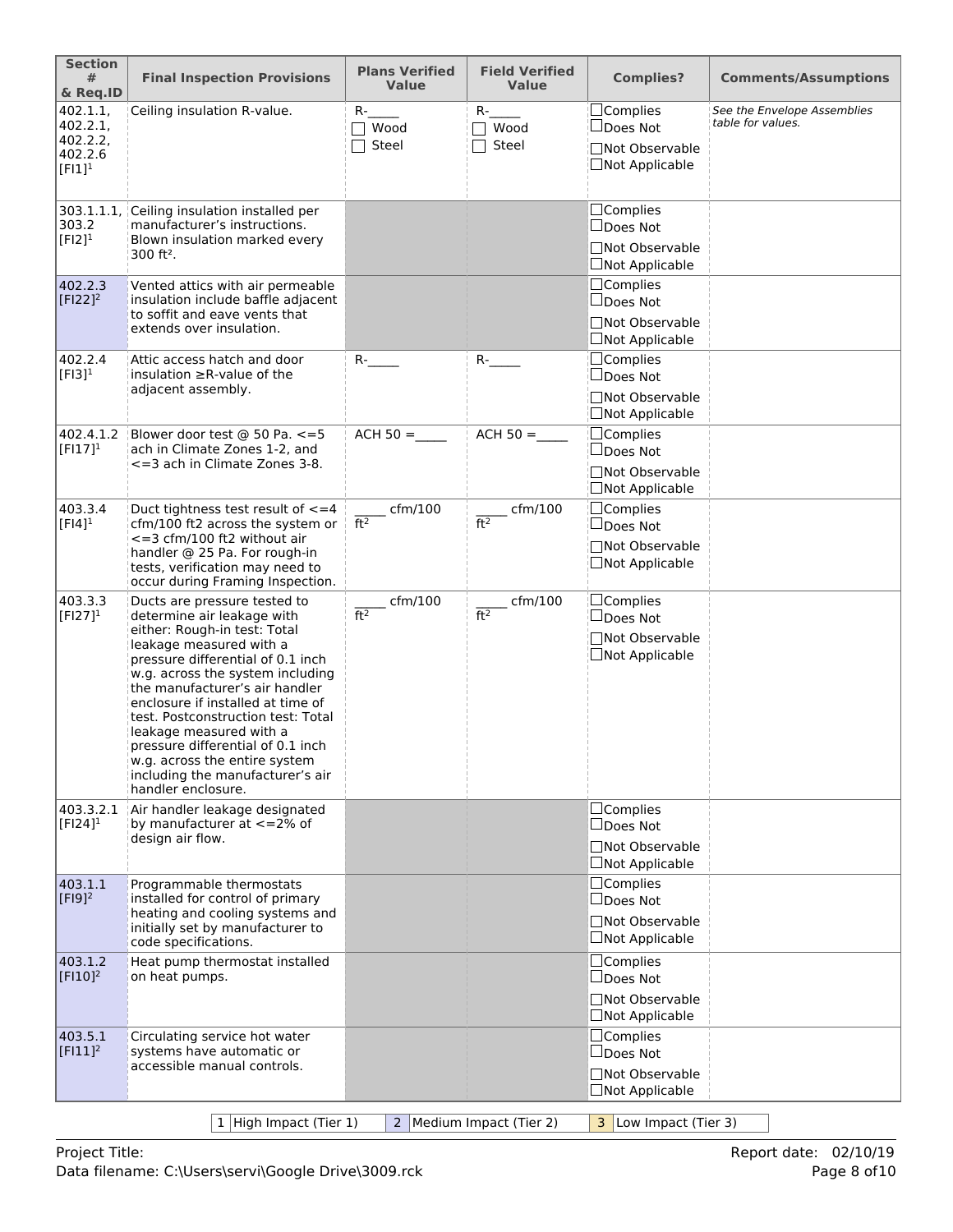| <b>Section</b><br>#<br>& Req.ID                          | <b>Final Inspection Provisions</b>                                                                                                                                                                                                                                                                                                                                                                                                                                     | <b>Plans Verified</b><br><b>Value</b> | <b>Field Verified</b><br><b>Value</b> | <b>Complies?</b>                                                                | <b>Comments/Assumptions</b>                      |
|----------------------------------------------------------|------------------------------------------------------------------------------------------------------------------------------------------------------------------------------------------------------------------------------------------------------------------------------------------------------------------------------------------------------------------------------------------------------------------------------------------------------------------------|---------------------------------------|---------------------------------------|---------------------------------------------------------------------------------|--------------------------------------------------|
| 402.1.1,<br>402.2.1<br>402.2.2,<br>402.2.6<br>$[FI]^{1}$ | Ceiling insulation R-value.                                                                                                                                                                                                                                                                                                                                                                                                                                            | $R-$<br>$\top$ Wood<br>Steel          | $R-$<br>$\sqcap$ Wood<br>Steel        | □Complies<br>□Does Not<br>□Not Observable<br>□Not Applicable                    | See the Envelope Assemblies<br>table for values. |
| 303.1.1.1<br>303.2<br>$[F12]$ <sup>1</sup>               | Ceiling insulation installed per<br>manufacturer's instructions.<br>Blown insulation marked every<br>$300$ ft <sup>2</sup> .                                                                                                                                                                                                                                                                                                                                           |                                       |                                       | $\Box$ Complies<br>$\Box$ Does Not<br>□Not Observable<br>$\Box$ Not Applicable  |                                                  |
| 402.2.3<br>$[F122]^2$                                    | Vented attics with air permeable<br>insulation include baffle adjacent<br>to soffit and eave vents that<br>extends over insulation.                                                                                                                                                                                                                                                                                                                                    |                                       |                                       | □Complies<br>$\Box$ Does Not<br>□Not Observable<br>$\Box$ Not Applicable        |                                                  |
| 402.2.4<br>$[F13]$ <sup>1</sup>                          | Attic access hatch and door<br>insulation $\geq$ R-value of the<br>adjacent assembly.                                                                                                                                                                                                                                                                                                                                                                                  | $R$ - $\qquad$                        | $R$ -                                 | $\Box$ Complies<br>$\Box$ Does Not<br>□Not Observable<br>□Not Applicable        |                                                  |
| 402.4.1.2<br>$[FI17]^{1}$                                | Blower door test @ 50 Pa. <= 5<br>ach in Climate Zones 1-2, and<br><= 3 ach in Climate Zones 3-8.                                                                                                                                                                                                                                                                                                                                                                      | $ACH 50 =$                            | $ACH 50 =$                            | $\Box$ Complies<br>□Does Not<br><b>Not Observable</b><br><b>□Not Applicable</b> |                                                  |
| 403.3.4<br>$[FI4]$ <sup>1</sup>                          | Duct tightness test result of $\leq$ = 4<br>cfm/100 ft2 across the system or<br><= 3 cfm/100 ft2 without air<br>handler @ 25 Pa. For rough-in<br>tests, verification may need to<br>occur during Framing Inspection.                                                                                                                                                                                                                                                   | $c$ fm/100<br>ft <sup>2</sup>         | $\_$ cfm/100<br>ft <sup>2</sup>       | $\Box$ Complies<br>□Does Not<br>□Not Observable<br>$\Box$ Not Applicable        |                                                  |
| 403.3.3<br>$[FI27]^{1}$                                  | Ducts are pressure tested to<br>determine air leakage with<br>either: Rough-in test: Total<br>leakage measured with a<br>pressure differential of 0.1 inch<br>w.g. across the system including<br>the manufacturer's air handler<br>enclosure if installed at time of<br>test. Postconstruction test: Total<br>leakage measured with a<br>pressure differential of 0.1 inch<br>w.g. across the entire system<br>including the manufacturer's air<br>handler enclosure. | cfm/100<br>ft <sup>2</sup>            | cfm/100<br>ft <sup>2</sup>            | $\Box$ Complies<br>□Does Not<br><b>Not Observable</b><br>□Not Applicable        |                                                  |
| 403.3.2.1<br>$[FI24]$ <sup>1</sup>                       | Air handler leakage designated<br>by manufacturer at $\lt$ =2% of<br>design air flow.                                                                                                                                                                                                                                                                                                                                                                                  |                                       |                                       | □Complies<br>$\Box$ Does Not<br>□Not Observable<br>$\Box$ Not Applicable        |                                                  |
| 403.1.1<br>$[F19]^{2}$                                   | Programmable thermostats<br>installed for control of primary<br>heating and cooling systems and<br>initially set by manufacturer to<br>code specifications.                                                                                                                                                                                                                                                                                                            |                                       |                                       | □Complies<br>$\square$ Does Not<br>□Not Observable<br>$\Box$ Not Applicable     |                                                  |
| 403.1.2<br>$[$ FI10] <sup>2</sup>                        | Heat pump thermostat installed<br>on heat pumps.                                                                                                                                                                                                                                                                                                                                                                                                                       |                                       |                                       | $\Box$ Complies<br>$\Box$ Does Not<br>□Not Observable<br>$\Box$ Not Applicable  |                                                  |
| 403.5.1<br>$[F111]^2$                                    | Circulating service hot water<br>systems have automatic or<br>accessible manual controls.                                                                                                                                                                                                                                                                                                                                                                              |                                       |                                       | $\Box$ Complies<br>$\Box$ Does Not<br>□Not Observable<br>$\Box$ Not Applicable  |                                                  |
|                                                          | 1 High Impact (Tier 1)                                                                                                                                                                                                                                                                                                                                                                                                                                                 |                                       | 2 Medium Impact (Tier 2)              | 3 Low Impact (Tier 3)                                                           |                                                  |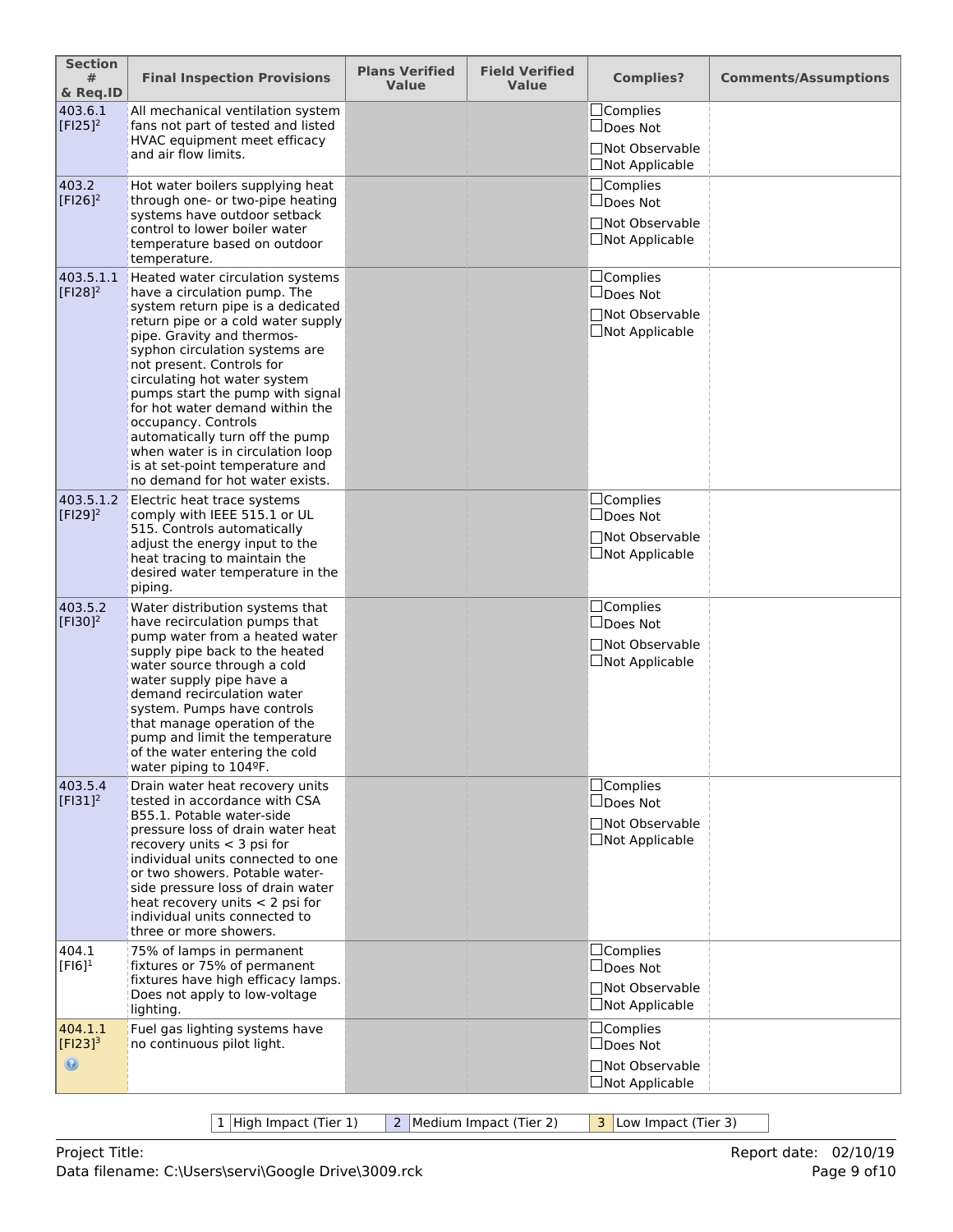| <b>Section</b><br>#<br>& Req.ID           | <b>Final Inspection Provisions</b>                                                                                                                                                                                                                                                                                                                                                                                                                                                                                   | <b>Plans Verified</b><br><b>Value</b> | <b>Field Verified</b><br><b>Value</b> | <b>Complies?</b>                                                                     | <b>Comments/Assumptions</b> |
|-------------------------------------------|----------------------------------------------------------------------------------------------------------------------------------------------------------------------------------------------------------------------------------------------------------------------------------------------------------------------------------------------------------------------------------------------------------------------------------------------------------------------------------------------------------------------|---------------------------------------|---------------------------------------|--------------------------------------------------------------------------------------|-----------------------------|
| 403.6.1<br>$[F125]^{2}$                   | All mechanical ventilation system<br>fans not part of tested and listed<br>HVAC equipment meet efficacy<br>and air flow limits.                                                                                                                                                                                                                                                                                                                                                                                      |                                       |                                       | $\Box$ Complies<br>$\Box$ Does Not<br>□Not Observable<br>□Not Applicable             |                             |
| 403.2<br>$[F126]^2$                       | Hot water boilers supplying heat<br>through one- or two-pipe heating<br>systems have outdoor setback<br>control to lower boiler water<br>temperature based on outdoor<br>temperature.                                                                                                                                                                                                                                                                                                                                |                                       |                                       | □Complies<br>$\Box$ Does Not<br>□Not Observable<br>□Not Applicable                   |                             |
| 403.5.1.1<br>$[F128]^{2}$                 | Heated water circulation systems<br>have a circulation pump. The<br>system return pipe is a dedicated<br>return pipe or a cold water supply<br>pipe. Gravity and thermos-<br>syphon circulation systems are<br>not present. Controls for<br>circulating hot water system<br>pumps start the pump with signal<br>for hot water demand within the<br>occupancy. Controls<br>automatically turn off the pump<br>when water is in circulation loop<br>is at set-point temperature and<br>no demand for hot water exists. |                                       |                                       | □Complies<br>Does Not<br>□Not Observable<br>□Not Applicable                          |                             |
| 403.5.1.2<br>$[F129]^{2}$                 | Electric heat trace systems<br>comply with IEEE 515.1 or UL<br>515. Controls automatically<br>adjust the energy input to the<br>heat tracing to maintain the<br>desired water temperature in the<br>piping.                                                                                                                                                                                                                                                                                                          |                                       |                                       | $\Box$ Complies<br>□Does Not<br><b>Not Observable</b><br>□Not Applicable             |                             |
| 403.5.2<br>$[F130]^{2}$                   | Water distribution systems that<br>have recirculation pumps that<br>pump water from a heated water<br>supply pipe back to the heated<br>water source through a cold<br>water supply pipe have a<br>demand recirculation water<br>system. Pumps have controls<br>that manage operation of the<br>pump and limit the temperature<br>of the water entering the cold<br>water piping to 104ºF.                                                                                                                           |                                       |                                       | $\Box$ Complies<br>$\Box$ Does Not<br><b>Not Observable</b><br>$\Box$ Not Applicable |                             |
| 403.5.4<br>$[F131]^{2}$                   | Drain water heat recovery units<br>tested in accordance with CSA<br>B55.1. Potable water-side<br>pressure loss of drain water heat<br>recovery units $<$ 3 psi for<br>individual units connected to one<br>or two showers. Potable water-<br>side pressure loss of drain water<br>heat recovery units $<$ 2 psi for<br>individual units connected to<br>three or more showers.                                                                                                                                       |                                       |                                       | □Complies<br>$\Box$ Does Not<br>Not Observable<br>□Not Applicable                    |                             |
| 404.1<br>$[F16]$ <sup>1</sup>             | 75% of lamps in permanent<br>fixtures or 75% of permanent<br>fixtures have high efficacy lamps.<br>Does not apply to low-voltage<br>lighting.                                                                                                                                                                                                                                                                                                                                                                        |                                       |                                       | $\Box$ Complies<br>□Does Not<br>□Not Observable<br>□Not Applicable                   |                             |
| 404.1.1<br>$[Fl23]^{3}$<br>$\circledcirc$ | Fuel gas lighting systems have<br>no continuous pilot light.                                                                                                                                                                                                                                                                                                                                                                                                                                                         |                                       |                                       | □Complies<br>$\Box$ Does Not<br>□Not Observable<br>□Not Applicable                   |                             |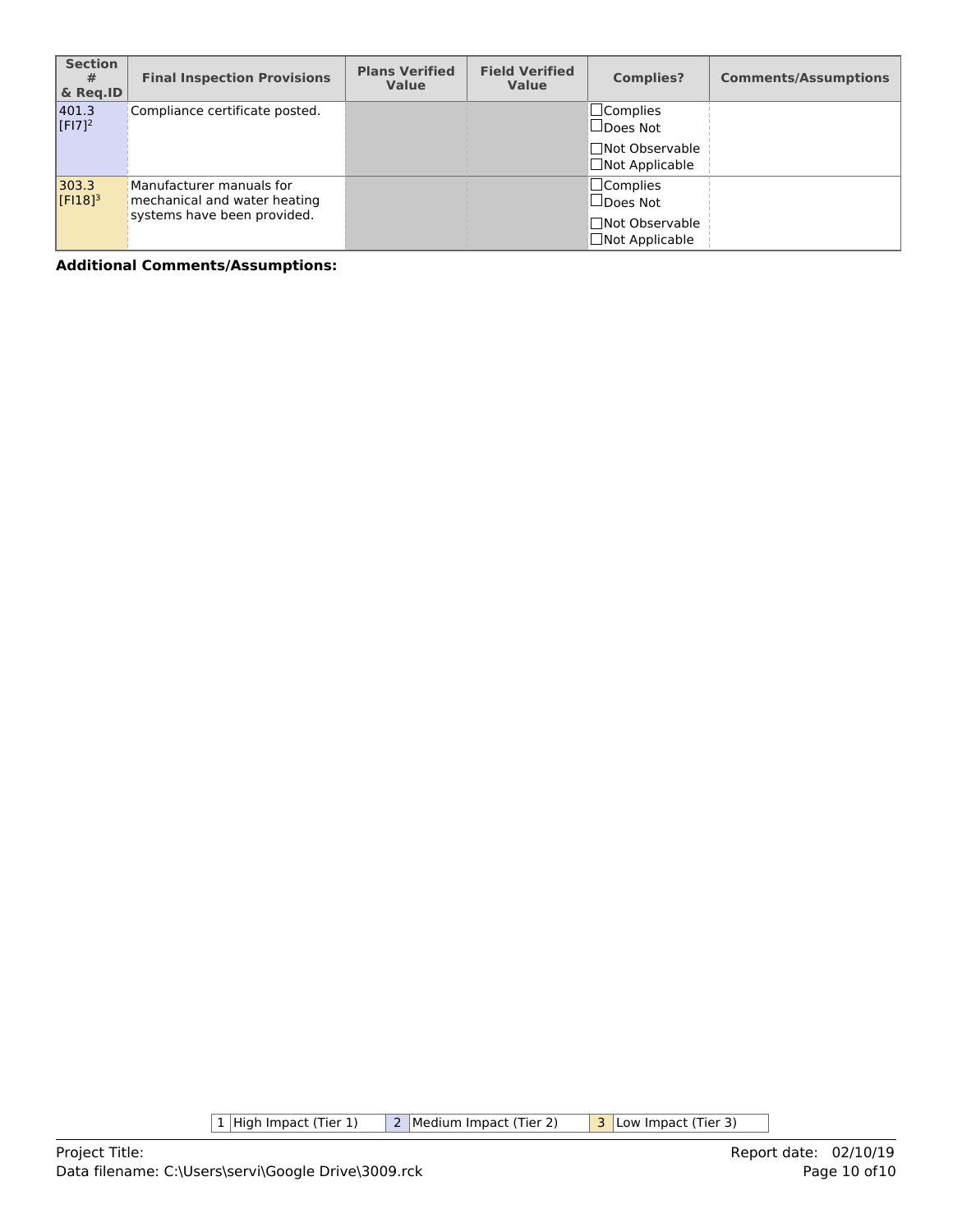| <b>Section</b><br>#<br>& Reg.ID | <b>Final Inspection Provisions</b>                                                      | <b>Plans Verified</b><br><b>Value</b> | <b>Field Verified</b><br><b>Value</b> | <b>Complies?</b>                                                                  | <b>Comments/Assumptions</b> |
|---------------------------------|-----------------------------------------------------------------------------------------|---------------------------------------|---------------------------------------|-----------------------------------------------------------------------------------|-----------------------------|
| 401.3<br>$[F17]^{2}$            | Compliance certificate posted.                                                          |                                       |                                       | $\square$ Complies<br>$\Box$ Does Not<br>□Not Observable<br>$\Box$ Not Applicable |                             |
| 303.3<br>$[F18]$ <sup>3</sup>   | Manufacturer manuals for<br>mechanical and water heating<br>systems have been provided. |                                       |                                       | $\Box$ Complies<br>$\Box$ Does Not<br>□Not Observable<br>$\Box$ Not Applicable    |                             |